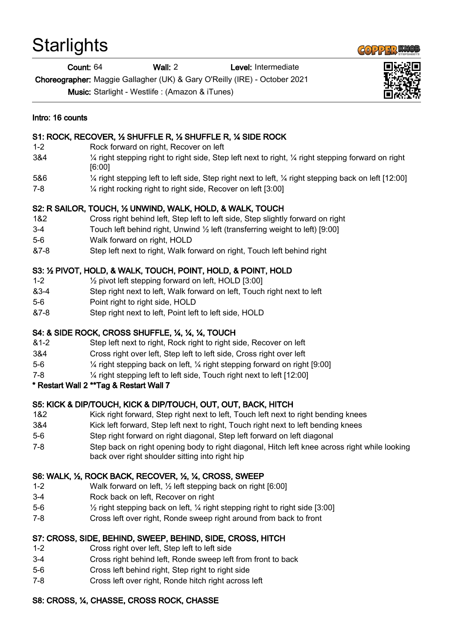# **Starlights**

Count: 64 Wall: 2 Level: Intermediate

Choreographer: Maggie Gallagher (UK) & Gary O'Reilly (IRE) - October 2021

Music: Starlight - Westlife : (Amazon & iTunes)



#### Intro: 16 counts

### S1: ROCK, RECOVER, ½ SHUFFLE R, ½ SHUFFLE R, ¼ SIDE ROCK

- 1-2 Rock forward on right, Recover on left
- 3&4 ¼ right stepping right to right side, Step left next to right, ¼ right stepping forward on right [6:00]
- 5&6 ¼ right stepping left to left side, Step right next to left, ¼ right stepping back on left [12:00]
- 7-8 ¼ right rocking right to right side, Recover on left [3:00]

### S2: R SAILOR, TOUCH, ½ UNWIND, WALK, HOLD, & WALK, TOUCH

- 1&2 Cross right behind left, Step left to left side, Step slightly forward on right
- 3-4 Touch left behind right, Unwind ½ left (transferring weight to left) [9:00]
- 5-6 Walk forward on right, HOLD
- &7-8 Step left next to right, Walk forward on right, Touch left behind right

## S3: ½ PIVOT, HOLD, & WALK, TOUCH, POINT, HOLD, & POINT, HOLD

- 1-2 ½ pivot left stepping forward on left, HOLD [3:00]
- &3-4 Step right next to left, Walk forward on left, Touch right next to left
- 5-6 Point right to right side, HOLD
- &7-8 Step right next to left, Point left to left side, HOLD

# S4: & SIDE ROCK, CROSS SHUFFLE, ¼, ¼, ¼, TOUCH

- &1-2 Step left next to right, Rock right to right side, Recover on left
- 3&4 Cross right over left, Step left to left side, Cross right over left
- 5-6 ¼ right stepping back on left, ¼ right stepping forward on right [9:00]
- 7-8 ¼ right stepping left to left side, Touch right next to left [12:00]

### \* Restart Wall 2 \*\*Tag & Restart Wall 7

# S5: KICK & DIP/TOUCH, KICK & DIP/TOUCH, OUT, OUT, BACK, HITCH

- 1&2 Kick right forward, Step right next to left, Touch left next to right bending knees
- 3&4 Kick left forward, Step left next to right, Touch right next to left bending knees
- 5-6 Step right forward on right diagonal, Step left forward on left diagonal
- 7-8 Step back on right opening body to right diagonal, Hitch left knee across right while looking back over right shoulder sitting into right hip

### S6: WALK, ½, ROCK BACK, RECOVER, ½, ¼, CROSS, SWEEP

- 1-2 Walk forward on left, ½ left stepping back on right [6:00]
- 3-4 Rock back on left, Recover on right
- 5-6 ½ right stepping back on left, ¼ right stepping right to right side [3:00]
- 7-8 Cross left over right, Ronde sweep right around from back to front

# S7: CROSS, SIDE, BEHIND, SWEEP, BEHIND, SIDE, CROSS, HITCH

- 1-2 Cross right over left, Step left to left side
- 3-4 Cross right behind left, Ronde sweep left from front to back
- 5-6 Cross left behind right, Step right to right side
- 7-8 Cross left over right, Ronde hitch right across left

# S8: CROSS, ¼, CHASSE, CROSS ROCK, CHASSE